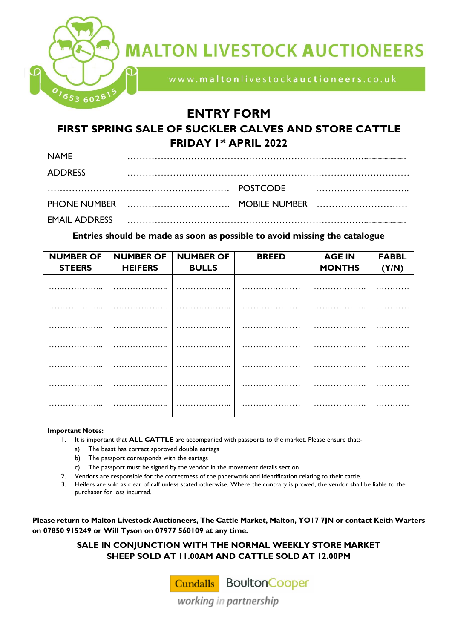

# **MALTON LIVESTOCK AUCTIONEERS**

www.maltonlivestockauctioneers.co.uk

## **ENTRY FORM**

### **FIRST SPRING SALE OF SUCKLER CALVES AND STORE CATTLE FRIDAY 1 st APRIL 2022**

| <b>NAME</b>          |  |  |
|----------------------|--|--|
| <b>ADDRESS</b>       |  |  |
|                      |  |  |
|                      |  |  |
| <b>EMAIL ADDRESS</b> |  |  |

#### **Entries should be made as soon as possible to avoid missing the catalogue**

| <b>NUMBER OF</b> | <b>NUMBER OF</b> | <b>NUMBER OF</b>     | <b>BREED</b> | <b>AGE IN</b> | <b>FABBL</b> |
|------------------|------------------|----------------------|--------------|---------------|--------------|
| <b>STEERS</b>    | <b>HEIFERS</b>   | <b>BULLS</b>         |              | <b>MONTHS</b> | (Y/N)        |
|                  |                  |                      |              |               |              |
|                  |                  |                      |              |               |              |
|                  |                  |                      |              |               |              |
|                  |                  |                      |              |               |              |
|                  |                  |                      | .            |               |              |
|                  |                  |                      |              |               |              |
| .                | .                | .<br>$\cdot$ $\cdot$ |              | .             |              |
|                  |                  |                      |              |               |              |
|                  |                  |                      |              |               |              |

#### **Important Notes:**

- 1. It is important that **ALL CATTLE** are accompanied with passports to the market. Please ensure that:
	- a) The beast has correct approved double eartags
	- b) The passport corresponds with the eartags
	- c) The passport must be signed by the vendor in the movement details section
- 2. Vendors are responsible for the correctness of the paperwork and identification relating to their cattle.
- 3. Heifers are sold as clear of calf unless stated otherwise. Where the contrary is proved, the vendor shall be liable to the purchaser for loss incurred.

**Please return to Malton Livestock Auctioneers, The Cattle Market, Malton, YO17 7JN or contact Keith Warters on 07850 915249 or Will Tyson on 07977 560109 at any time.** 

> **SALE IN CONJUNCTION WITH THE NORMAL WEEKLY STORE MARKET SHEEP SOLD AT 11.00AM AND CATTLE SOLD AT 12.00PM**

> > **Cundalls** BoultonCooper

working in partnership